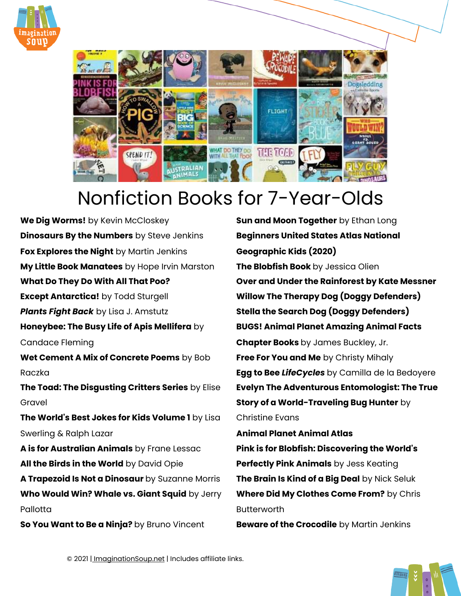



## Nonfiction Books for 7-Year-Olds

**[We Dig Worms!](http://amzn.to/1X580xR)** by Kevin McCloskey **[Dinosaurs By the Numbers](https://amzn.to/2WpVj5Z)** by Steve Jenkins **[Fox Explores the Night](https://amzn.to/2QOXfnu)** by Martin Jenkins **[My Little Book Manatees](https://amzn.to/329mdSC)** by Hope Irvin Marston **[What Do They Do With All That Poo?](https://amzn.to/2ATsTJP) [Except Antarctica!](https://amzn.to/2PRwG2V)** by Todd Sturgell *[Plants Fight Back](https://amzn.to/3shLqpc)* by Lisa J. Amstutz **[Honeybee: The Busy Life of Apis Mellifera](https://amzn.to/2W53Axf)** by Candace Fleming **[Wet Cement A Mix of Concrete Poems](http://amzn.to/2fFQQFe)** by Bob Raczka **[The Toad: The Disgusting Critters Series](http://amzn.to/29PcxB9)** by Elise Gravel **[The World's Best Jokes for Kids Volume 1](https://amzn.to/2Ci5jVE)** by Lisa Swerling & Ralph Lazar **[A is for Australian Animals](https://amzn.to/2vuW153)** by Frane Lessac **[All the Birds in the World](https://amzn.to/3cadvqY)** by David Opie **[A Trapezoid Is Not a Dinosaur](https://amzn.to/2P7GvqD)** by Suzanne Morris **[Who Would Win? Whale vs. Giant Squid](https://amzn.to/2YLHa2r)** by Jerry **Pallotta [So You Want to Be a Ninja?](https://amzn.to/2SdsjN3)** by Bruno Vincent

**[Sun and Moon Together](https://amzn.to/2L1Tzuq)** by Ethan Long **[Beginners United States Atlas National](https://amzn.to/3kSXtFM)  [Geographic Kids \(2020\)](https://amzn.to/3kSXtFM)  [The Blobfish Book](http://amzn.to/2a5pv1C)** by Jessica Olien **[Over and Under the Rainforest](https://amzn.to/2Sd8UMg) by Kate Messner [Willow The Therapy Dog \(Doggy Defenders\)](https://amzn.to/2ZH78IC)  [Stella the Search Dog \(Doggy Defenders\)](https://amzn.to/2ZJ5cLu)  [BUGS! Animal Planet Amazing Animal Facts](http://amzn.to/2wm0WVm)  [Chapter Books](http://amzn.to/2wm0WVm)** by James Buckley, Jr. **[Free For You and Me](https://amzn.to/2yrBHpZ)** by Christy Mihaly **[Egg to Bee](http://amzn.to/2fHUKkZ)** *LifeCycles* by Camilla de la Bedoyere **[Evelyn The Adventurous Entomologist: The True](https://amzn.to/2Mzt9S3)  [Story of a World-Traveling Bug Hunter](https://amzn.to/2Mzt9S3)** by Christine Evans **[Animal Planet Animal Atlas](http://amzn.to/1X57Dn3)** 

**[Pink is for Blobfish: Discovering the World's](http://amzn.to/29Pgj1H)  [Perfectly Pink Animals](http://amzn.to/29Pgj1H)** by Jess Keating **[The Brain Is Kind of a Big Deal](https://amzn.to/2WpC7VY)** by Nick Seluk **[Where Did My Clothes Come From?](http://amzn.to/1NEK1Sr)** by Chris **Butterworth** 

**[Beware of the Crocodile](https://amzn.to/2CI9FEN)** by Martin Jenkins